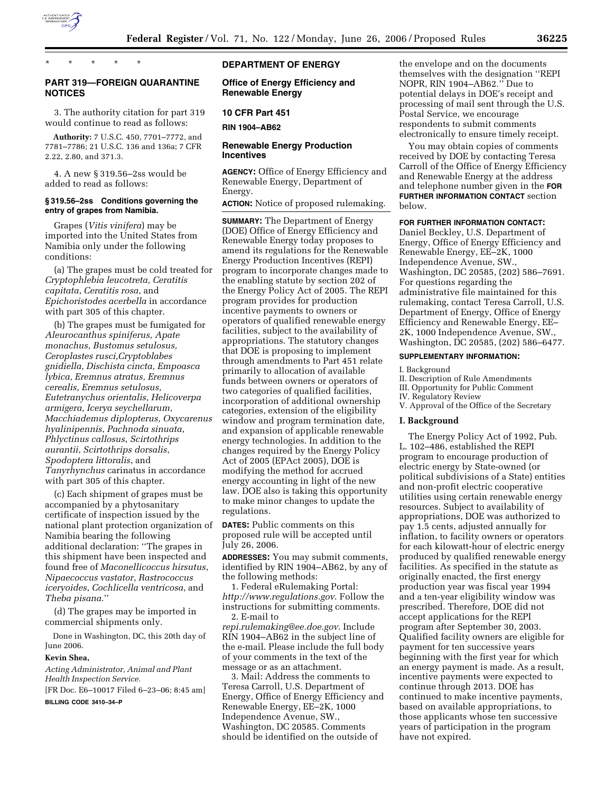

\* \* \* \* \*

# **PART 319—FOREIGN QUARANTINE NOTICES**

3. The authority citation for part 319 would continue to read as follows:

**Authority:** 7 U.S.C. 450, 7701–7772, and 7781–7786; 21 U.S.C. 136 and 136a; 7 CFR 2.22, 2.80, and 371.3.

4. A new § 319.56–2ss would be added to read as follows:

### **§ 319.56–2ss Conditions governing the entry of grapes from Namibia.**

Grapes (*Vitis vinifera*) may be imported into the United States from Namibia only under the following conditions:

(a) The grapes must be cold treated for *Cryptophlebia leucotreta, Ceratitis capitata*, *Ceratitis rosa*, and *Epichoristodes acerbella* in accordance with part 305 of this chapter.

(b) The grapes must be fumigated for *Aleurocanthus spiniferus, Apate monachus, Bustomus setulosus, Ceroplastes rusci,Cryptoblabes gnidiella, Dischista cincta, Empoasca lybica, Eremnus atratus, Eremnus cerealis, Eremnus setulosus, Eutetranychus orientalis, Helicoverpa armigera, Icerya seychellarum, Macchiademus diplopterus, Oxycarenus hyalinipennis*, *Pachnoda sinuata*, *Phlyctinus callosus*, *Scirtothrips aurantii*, *Scirtothrips dorsalis*, *Spodoptera littoralis*, and *Tanyrhynchus* carinatus in accordance with part 305 of this chapter.

(c) Each shipment of grapes must be accompanied by a phytosanitary certificate of inspection issued by the national plant protection organization of Namibia bearing the following additional declaration: ''The grapes in this shipment have been inspected and found free of *Maconellicoccus hirsutus*, *Nipaecoccus vastator*, *Rastrococcus iceryoides*, *Cochlicella ventricosa*, and *Theba pisana*.''

(d) The grapes may be imported in commercial shipments only.

Done in Washington, DC, this 20th day of June 2006.

#### **Kevin Shea,**

*Acting Administrator, Animal and Plant Health Inspection Service.*  [FR Doc. E6–10017 Filed 6–23–06; 8:45 am]

**BILLING CODE 3410–34–P** 

# **DEPARTMENT OF ENERGY**

# **Office of Energy Efficiency and Renewable Energy**

### **10 CFR Part 451**

**RIN 1904–AB62** 

### **Renewable Energy Production Incentives**

**AGENCY:** Office of Energy Efficiency and Renewable Energy, Department of Energy.

**ACTION:** Notice of proposed rulemaking.

**SUMMARY:** The Department of Energy (DOE) Office of Energy Efficiency and Renewable Energy today proposes to amend its regulations for the Renewable Energy Production Incentives (REPI) program to incorporate changes made to the enabling statute by section 202 of the Energy Policy Act of 2005. The REPI program provides for production incentive payments to owners or operators of qualified renewable energy facilities, subject to the availability of appropriations. The statutory changes that DOE is proposing to implement through amendments to Part 451 relate primarily to allocation of available funds between owners or operators of two categories of qualified facilities, incorporation of additional ownership categories, extension of the eligibility window and program termination date, and expansion of applicable renewable energy technologies. In addition to the changes required by the Energy Policy Act of 2005 (EPAct 2005), DOE is modifying the method for accrued energy accounting in light of the new law. DOE also is taking this opportunity to make minor changes to update the regulations.

**DATES:** Public comments on this proposed rule will be accepted until July 26, 2006.

**ADDRESSES:** You may submit comments, identified by RIN 1904–AB62, by any of the following methods:

1. Federal eRulemaking Portal: *http://www.regulations.gov*. Follow the instructions for submitting comments. 2. E-mail to

*repi.rulemaking@ee.doe.gov*. Include RIN 1904–AB62 in the subject line of the e-mail. Please include the full body of your comments in the text of the message or as an attachment.

3. Mail: Address the comments to Teresa Carroll, U.S. Department of Energy, Office of Energy Efficiency and Renewable Energy, EE–2K, 1000 Independence Avenue, SW., Washington, DC 20585. Comments should be identified on the outside of

the envelope and on the documents themselves with the designation ''REPI NOPR, RIN 1904–AB62.'' Due to potential delays in DOE's receipt and processing of mail sent through the U.S. Postal Service, we encourage respondents to submit comments electronically to ensure timely receipt.

You may obtain copies of comments received by DOE by contacting Teresa Carroll of the Office of Energy Efficiency and Renewable Energy at the address and telephone number given in the **FOR FURTHER INFORMATION CONTACT** section below.

# **FOR FURTHER INFORMATION CONTACT:**

Daniel Beckley, U.S. Department of Energy, Office of Energy Efficiency and Renewable Energy, EE–2K, 1000 Independence Avenue, SW., Washington, DC 20585, (202) 586–7691. For questions regarding the administrative file maintained for this rulemaking, contact Teresa Carroll, U.S. Department of Energy, Office of Energy Efficiency and Renewable Energy, EE– 2K, 1000 Independence Avenue, SW., Washington, DC 20585, (202) 586–6477.

# **SUPPLEMENTARY INFORMATION:**

I. Background

- II. Description of Rule Amendments
- III. Opportunity for Public Comment

IV. Regulatory Review

V. Approval of the Office of the Secretary

#### **I. Background**

The Energy Policy Act of 1992, Pub. L. 102–486, established the REPI program to encourage production of electric energy by State-owned (or political subdivisions of a State) entities and non-profit electric cooperative utilities using certain renewable energy resources. Subject to availability of appropriations, DOE was authorized to pay 1.5 cents, adjusted annually for inflation, to facility owners or operators for each kilowatt-hour of electric energy produced by qualified renewable energy facilities. As specified in the statute as originally enacted, the first energy production year was fiscal year 1994 and a ten-year eligibility window was prescribed. Therefore, DOE did not accept applications for the REPI program after September 30, 2003. Qualified facility owners are eligible for payment for ten successive years beginning with the first year for which an energy payment is made. As a result, incentive payments were expected to continue through 2013. DOE has continued to make incentive payments, based on available appropriations, to those applicants whose ten successive years of participation in the program have not expired.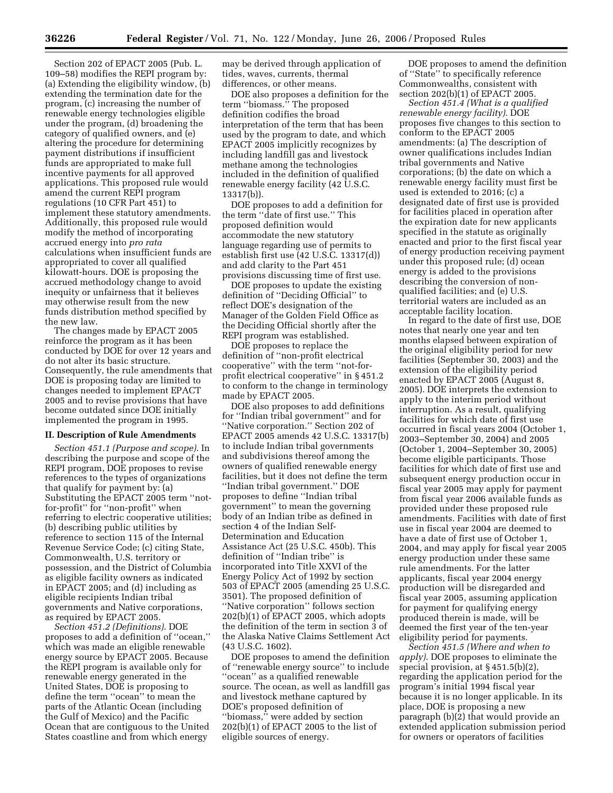Section 202 of EPACT 2005 (Pub. L. 109–58) modifies the REPI program by: (a) Extending the eligibility window, (b) extending the termination date for the program, (c) increasing the number of renewable energy technologies eligible under the program, (d) broadening the category of qualified owners, and (e) altering the procedure for determining payment distributions if insufficient funds are appropriated to make full incentive payments for all approved applications. This proposed rule would amend the current REPI program regulations (10 CFR Part 451) to implement these statutory amendments. Additionally, this proposed rule would modify the method of incorporating accrued energy into *pro rata*  calculations when insufficient funds are appropriated to cover all qualified kilowatt-hours. DOE is proposing the accrued methodology change to avoid inequity or unfairness that it believes may otherwise result from the new funds distribution method specified by the new law.

The changes made by EPACT 2005 reinforce the program as it has been conducted by DOE for over 12 years and do not alter its basic structure. Consequently, the rule amendments that DOE is proposing today are limited to changes needed to implement EPACT 2005 and to revise provisions that have become outdated since DOE initially implemented the program in 1995.

### **II. Description of Rule Amendments**

*Section 451.1 (Purpose and scope)*. In describing the purpose and scope of the REPI program, DOE proposes to revise references to the types of organizations that qualify for payment by: (a) Substituting the EPACT 2005 term ''notfor-profit'' for ''non-profit'' when referring to electric cooperative utilities; (b) describing public utilities by reference to section 115 of the Internal Revenue Service Code; (c) citing State, Commonwealth, U.S. territory or possession, and the District of Columbia as eligible facility owners as indicated in EPACT 2005; and (d) including as eligible recipients Indian tribal governments and Native corporations, as required by EPACT 2005.

*Section 451.2 (Definitions)*. DOE proposes to add a definition of ''ocean,'' which was made an eligible renewable energy source by EPACT 2005. Because the REPI program is available only for renewable energy generated in the United States, DOE is proposing to define the term ''ocean'' to mean the parts of the Atlantic Ocean (including the Gulf of Mexico) and the Pacific Ocean that are contiguous to the United States coastline and from which energy

may be derived through application of tides, waves, currents, thermal differences, or other means.

DOE also proposes a definition for the term ''biomass.'' The proposed definition codifies the broad interpretation of the term that has been used by the program to date, and which EPACT 2005 implicitly recognizes by including landfill gas and livestock methane among the technologies included in the definition of qualified renewable energy facility (42 U.S.C. 13317(b)).

DOE proposes to add a definition for the term ''date of first use.'' This proposed definition would accommodate the new statutory language regarding use of permits to establish first use (42 U.S.C. 13317(d)) and add clarity to the Part 451 provisions discussing time of first use.

DOE proposes to update the existing definition of ''Deciding Official'' to reflect DOE's designation of the Manager of the Golden Field Office as the Deciding Official shortly after the REPI program was established.

DOE proposes to replace the definition of ''non-profit electrical cooperative'' with the term ''not-forprofit electrical cooperative'' in § 451.2 to conform to the change in terminology made by EPACT 2005.

DOE also proposes to add definitions for ''Indian tribal government'' and for ''Native corporation.'' Section 202 of EPACT 2005 amends 42 U.S.C. 13317(b) to include Indian tribal governments and subdivisions thereof among the owners of qualified renewable energy facilities, but it does not define the term ''Indian tribal government.'' DOE proposes to define ''Indian tribal government'' to mean the governing body of an Indian tribe as defined in section 4 of the Indian Self-Determination and Education Assistance Act (25 U.S.C. 450b). This definition of ''Indian tribe'' is incorporated into Title XXVI of the Energy Policy Act of 1992 by section 503 of EPACT 2005 (amending 25 U.S.C. 3501). The proposed definition of ''Native corporation'' follows section 202(b)(1) of EPACT 2005, which adopts the definition of the term in section 3 of the Alaska Native Claims Settlement Act (43 U.S.C. 1602).

DOE proposes to amend the definition of ''renewable energy source'' to include ''ocean'' as a qualified renewable source. The ocean, as well as landfill gas and livestock methane captured by DOE's proposed definition of ''biomass,'' were added by section 202(b)(1) of EPACT 2005 to the list of eligible sources of energy.

DOE proposes to amend the definition of ''State'' to specifically reference Commonwealths, consistent with section 202(b)(1) of EPACT 2005.

*Section 451.4 (What is a qualified renewable energy facility)*. DOE proposes five changes to this section to conform to the EPACT 2005 amendments: (a) The description of owner qualifications includes Indian tribal governments and Native corporations; (b) the date on which a renewable energy facility must first be used is extended to 2016; (c) a designated date of first use is provided for facilities placed in operation after the expiration date for new applicants specified in the statute as originally enacted and prior to the first fiscal year of energy production receiving payment under this proposed rule; (d) ocean energy is added to the provisions describing the conversion of nonqualified facilities; and (e) U.S. territorial waters are included as an acceptable facility location.

In regard to the date of first use, DOE notes that nearly one year and ten months elapsed between expiration of the original eligibility period for new facilities (September 30, 2003) and the extension of the eligibility period enacted by EPACT 2005 (August 8, 2005). DOE interprets the extension to apply to the interim period without interruption. As a result, qualifying facilities for which date of first use occurred in fiscal years 2004 (October 1, 2003–September 30, 2004) and 2005 (October 1, 2004–September 30, 2005) become eligible participants. Those facilities for which date of first use and subsequent energy production occur in fiscal year 2005 may apply for payment from fiscal year 2006 available funds as provided under these proposed rule amendments. Facilities with date of first use in fiscal year 2004 are deemed to have a date of first use of October 1, 2004, and may apply for fiscal year 2005 energy production under these same rule amendments. For the latter applicants, fiscal year 2004 energy production will be disregarded and fiscal year 2005, assuming application for payment for qualifying energy produced therein is made, will be deemed the first year of the ten-year eligibility period for payments.

*Section 451.5 (Where and when to apply)*. DOE proposes to eliminate the special provision, at § 451.5(b)(2), regarding the application period for the program's initial 1994 fiscal year because it is no longer applicable. In its place, DOE is proposing a new paragraph (b)(2) that would provide an extended application submission period for owners or operators of facilities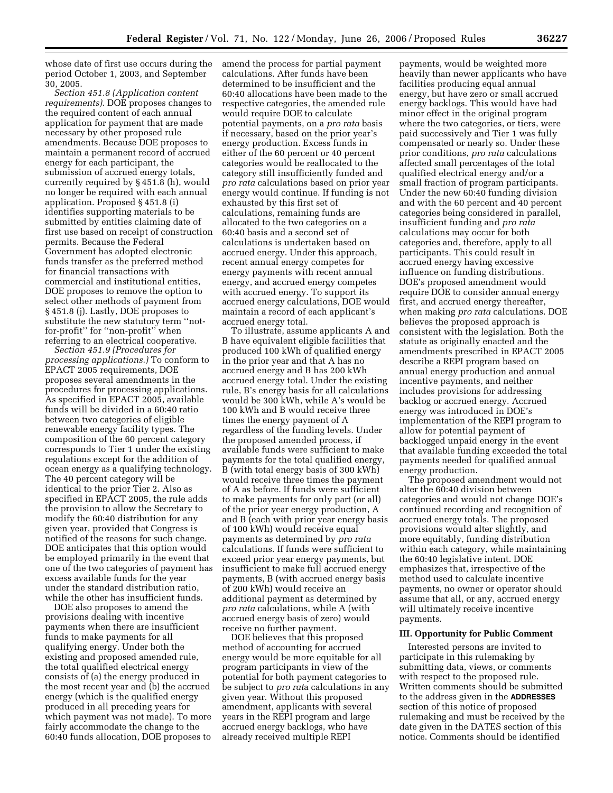whose date of first use occurs during the period October 1, 2003, and September 30, 2005.

*Section 451.8 (Application content requirements)*. DOE proposes changes to the required content of each annual application for payment that are made necessary by other proposed rule amendments. Because DOE proposes to maintain a permanent record of accrued energy for each participant, the submission of accrued energy totals, currently required by § 451.8 (h), would no longer be required with each annual application. Proposed § 451.8 (i) identifies supporting materials to be submitted by entities claiming date of first use based on receipt of construction permits. Because the Federal Government has adopted electronic funds transfer as the preferred method for financial transactions with commercial and institutional entities, DOE proposes to remove the option to select other methods of payment from § 451.8 (j). Lastly, DOE proposes to substitute the new statutory term ''notfor-profit'' for ''non-profit'' when referring to an electrical cooperative.

*Section 451.9 (Procedures for processing applications.)* To conform to EPACT 2005 requirements, DOE proposes several amendments in the procedures for processing applications. As specified in EPACT 2005, available funds will be divided in a 60:40 ratio between two categories of eligible renewable energy facility types. The composition of the 60 percent category corresponds to Tier 1 under the existing regulations except for the addition of ocean energy as a qualifying technology. The 40 percent category will be identical to the prior Tier 2. Also as specified in EPACT 2005, the rule adds the provision to allow the Secretary to modify the 60:40 distribution for any given year, provided that Congress is notified of the reasons for such change. DOE anticipates that this option would be employed primarily in the event that one of the two categories of payment has excess available funds for the year under the standard distribution ratio, while the other has insufficient funds.

DOE also proposes to amend the provisions dealing with incentive payments when there are insufficient funds to make payments for all qualifying energy. Under both the existing and proposed amended rule, the total qualified electrical energy consists of (a) the energy produced in the most recent year and (b) the accrued energy (which is the qualified energy produced in all preceding years for which payment was not made). To more fairly accommodate the change to the 60:40 funds allocation, DOE proposes to

amend the process for partial payment calculations. After funds have been determined to be insufficient and the 60:40 allocations have been made to the respective categories, the amended rule would require DOE to calculate potential payments, on a *pro rata* basis if necessary, based on the prior year's energy production. Excess funds in either of the 60 percent or 40 percent categories would be reallocated to the category still insufficiently funded and *pro rata* calculations based on prior year energy would continue. If funding is not exhausted by this first set of calculations, remaining funds are allocated to the two categories on a 60:40 basis and a second set of calculations is undertaken based on accrued energy. Under this approach, recent annual energy competes for energy payments with recent annual energy, and accrued energy competes with accrued energy. To support its accrued energy calculations, DOE would maintain a record of each applicant's accrued energy total.

To illustrate, assume applicants A and B have equivalent eligible facilities that produced 100 kWh of qualified energy in the prior year and that A has no accrued energy and B has 200 kWh accrued energy total. Under the existing rule, B's energy basis for all calculations would be 300 kWh, while A's would be 100 kWh and B would receive three times the energy payment of A regardless of the funding levels. Under the proposed amended process, if available funds were sufficient to make payments for the total qualified energy, B (with total energy basis of 300 kWh) would receive three times the payment of A as before. If funds were sufficient to make payments for only part (or all) of the prior year energy production, A and B (each with prior year energy basis of 100 kWh) would receive equal payments as determined by *pro rata*  calculations. If funds were sufficient to exceed prior year energy payments, but insufficient to make full accrued energy payments, B (with accrued energy basis of 200 kWh) would receive an additional payment as determined by *pro rata* calculations, while A (with accrued energy basis of zero) would receive no further payment.

DOE believes that this proposed method of accounting for accrued energy would be more equitable for all program participants in view of the potential for both payment categories to be subject to *pro rat*a calculations in any given year. Without this proposed amendment, applicants with several years in the REPI program and large accrued energy backlogs, who have already received multiple REPI

payments, would be weighted more heavily than newer applicants who have facilities producing equal annual energy, but have zero or small accrued energy backlogs. This would have had minor effect in the original program where the two categories, or tiers, were paid successively and Tier 1 was fully compensated or nearly so. Under these prior conditions, *pro rata* calculations affected small percentages of the total qualified electrical energy and/or a small fraction of program participants. Under the new 60:40 funding division and with the 60 percent and 40 percent categories being considered in parallel, insufficient funding and *pro rata*  calculations may occur for both categories and, therefore, apply to all participants. This could result in accrued energy having excessive influence on funding distributions. DOE's proposed amendment would require DOE to consider annual energy first, and accrued energy thereafter, when making *pro rata* calculations. DOE believes the proposed approach is consistent with the legislation. Both the statute as originally enacted and the amendments prescribed in EPACT 2005 describe a REPI program based on annual energy production and annual incentive payments, and neither includes provisions for addressing backlog or accrued energy. Accrued energy was introduced in DOE's implementation of the REPI program to allow for potential payment of backlogged unpaid energy in the event that available funding exceeded the total payments needed for qualified annual energy production.

The proposed amendment would not alter the 60:40 division between categories and would not change DOE's continued recording and recognition of accrued energy totals. The proposed provisions would alter slightly, and more equitably, funding distribution within each category, while maintaining the 60:40 legislative intent. DOE emphasizes that, irrespective of the method used to calculate incentive payments, no owner or operator should assume that all, or any, accrued energy will ultimately receive incentive payments.

### **III. Opportunity for Public Comment**

Interested persons are invited to participate in this rulemaking by submitting data, views, or comments with respect to the proposed rule. Written comments should be submitted to the address given in the **ADDRESSES** section of this notice of proposed rulemaking and must be received by the date given in the DATES section of this notice. Comments should be identified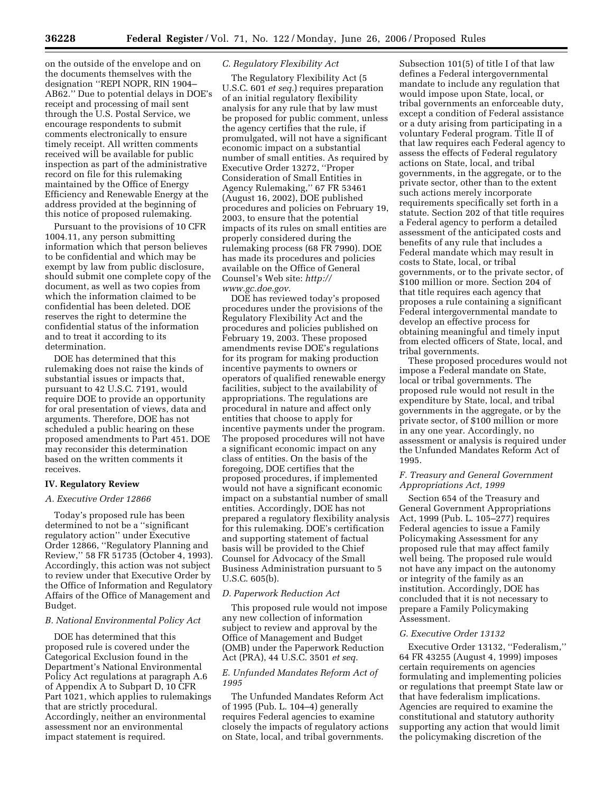on the outside of the envelope and on the documents themselves with the designation ''REPI NOPR, RIN 1904– AB62.'' Due to potential delays in DOE's receipt and processing of mail sent through the U.S. Postal Service, we encourage respondents to submit comments electronically to ensure timely receipt. All written comments received will be available for public inspection as part of the administrative record on file for this rulemaking maintained by the Office of Energy Efficiency and Renewable Energy at the address provided at the beginning of this notice of proposed rulemaking.

Pursuant to the provisions of 10 CFR 1004.11, any person submitting information which that person believes to be confidential and which may be exempt by law from public disclosure, should submit one complete copy of the document, as well as two copies from which the information claimed to be confidential has been deleted. DOE reserves the right to determine the confidential status of the information and to treat it according to its determination.

DOE has determined that this rulemaking does not raise the kinds of substantial issues or impacts that, pursuant to 42 U.S.C. 7191, would require DOE to provide an opportunity for oral presentation of views, data and arguments. Therefore, DOE has not scheduled a public hearing on these proposed amendments to Part 451. DOE may reconsider this determination based on the written comments it receives.

### **IV. Regulatory Review**

#### *A. Executive Order 12866*

Today's proposed rule has been determined to not be a ''significant regulatory action'' under Executive Order 12866, ''Regulatory Planning and Review,'' 58 FR 51735 (October 4, 1993). Accordingly, this action was not subject to review under that Executive Order by the Office of Information and Regulatory Affairs of the Office of Management and Budget.

### *B. National Environmental Policy Act*

DOE has determined that this proposed rule is covered under the Categorical Exclusion found in the Department's National Environmental Policy Act regulations at paragraph A.6 of Appendix A to Subpart D, 10 CFR Part 1021, which applies to rulemakings that are strictly procedural. Accordingly, neither an environmental assessment nor an environmental impact statement is required.

## *C. Regulatory Flexibility Act*

The Regulatory Flexibility Act (5 U.S.C. 601 *et seq.*) requires preparation of an initial regulatory flexibility analysis for any rule that by law must be proposed for public comment, unless the agency certifies that the rule, if promulgated, will not have a significant economic impact on a substantial number of small entities. As required by Executive Order 13272, ''Proper Consideration of Small Entities in Agency Rulemaking,'' 67 FR 53461 (August 16, 2002), DOE published procedures and policies on February 19, 2003, to ensure that the potential impacts of its rules on small entities are properly considered during the rulemaking process (68 FR 7990). DOE has made its procedures and policies available on the Office of General Counsel's Web site: *http:// www.gc.doe.gov*.

DOE has reviewed today's proposed procedures under the provisions of the Regulatory Flexibility Act and the procedures and policies published on February 19, 2003. These proposed amendments revise DOE's regulations for its program for making production incentive payments to owners or operators of qualified renewable energy facilities, subject to the availability of appropriations. The regulations are procedural in nature and affect only entities that choose to apply for incentive payments under the program. The proposed procedures will not have a significant economic impact on any class of entities. On the basis of the foregoing, DOE certifies that the proposed procedures, if implemented would not have a significant economic impact on a substantial number of small entities. Accordingly, DOE has not prepared a regulatory flexibility analysis for this rulemaking. DOE's certification and supporting statement of factual basis will be provided to the Chief Counsel for Advocacy of the Small Business Administration pursuant to 5 U.S.C. 605(b).

### *D. Paperwork Reduction Act*

This proposed rule would not impose any new collection of information subject to review and approval by the Office of Management and Budget (OMB) under the Paperwork Reduction Act (PRA), 44 U.S.C. 3501 *et seq.* 

### *E. Unfunded Mandates Reform Act of 1995*

The Unfunded Mandates Reform Act of 1995 (Pub. L. 104–4) generally requires Federal agencies to examine closely the impacts of regulatory actions on State, local, and tribal governments.

Subsection 101(5) of title I of that law defines a Federal intergovernmental mandate to include any regulation that would impose upon State, local, or tribal governments an enforceable duty, except a condition of Federal assistance or a duty arising from participating in a voluntary Federal program. Title II of that law requires each Federal agency to assess the effects of Federal regulatory actions on State, local, and tribal governments, in the aggregate, or to the private sector, other than to the extent such actions merely incorporate requirements specifically set forth in a statute. Section 202 of that title requires a Federal agency to perform a detailed assessment of the anticipated costs and benefits of any rule that includes a Federal mandate which may result in costs to State, local, or tribal governments, or to the private sector, of \$100 million or more. Section 204 of that title requires each agency that proposes a rule containing a significant Federal intergovernmental mandate to develop an effective process for obtaining meaningful and timely input from elected officers of State, local, and tribal governments.

These proposed procedures would not impose a Federal mandate on State, local or tribal governments. The proposed rule would not result in the expenditure by State, local, and tribal governments in the aggregate, or by the private sector, of \$100 million or more in any one year. Accordingly, no assessment or analysis is required under the Unfunded Mandates Reform Act of 1995.

# *F. Treasury and General Government Appropriations Act, 1999*

Section 654 of the Treasury and General Government Appropriations Act, 1999 (Pub. L. 105–277) requires Federal agencies to issue a Family Policymaking Assessment for any proposed rule that may affect family well being. The proposed rule would not have any impact on the autonomy or integrity of the family as an institution. Accordingly, DOE has concluded that it is not necessary to prepare a Family Policymaking Assessment.

### *G. Executive Order 13132*

Executive Order 13132, ''Federalism,'' 64 FR 43255 (August 4, 1999) imposes certain requirements on agencies formulating and implementing policies or regulations that preempt State law or that have federalism implications. Agencies are required to examine the constitutional and statutory authority supporting any action that would limit the policymaking discretion of the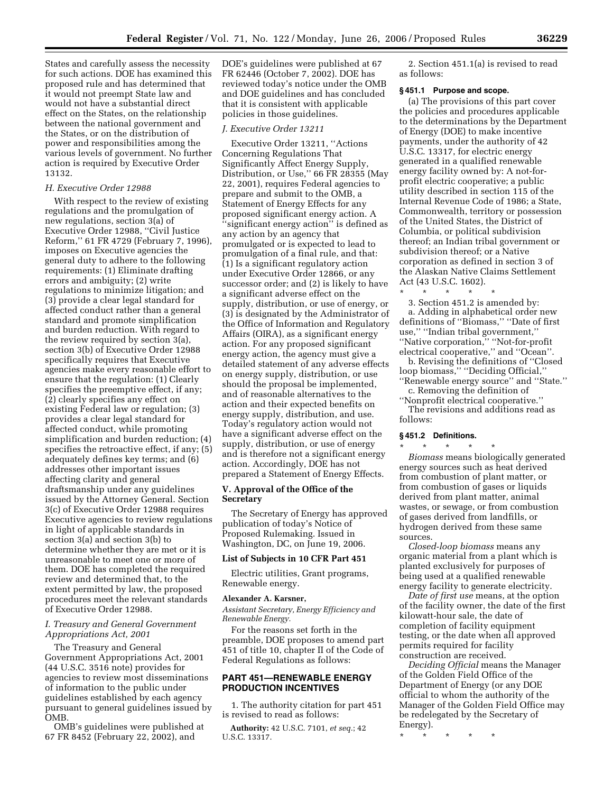States and carefully assess the necessity for such actions. DOE has examined this proposed rule and has determined that it would not preempt State law and would not have a substantial direct effect on the States, on the relationship between the national government and the States, or on the distribution of power and responsibilities among the various levels of government. No further action is required by Executive Order 13132.

### *H. Executive Order 12988*

With respect to the review of existing regulations and the promulgation of new regulations, section 3(a) of Executive Order 12988, ''Civil Justice Reform,'' 61 FR 4729 (February 7, 1996), imposes on Executive agencies the general duty to adhere to the following requirements: (1) Eliminate drafting errors and ambiguity; (2) write regulations to minimize litigation; and (3) provide a clear legal standard for affected conduct rather than a general standard and promote simplification and burden reduction. With regard to the review required by section 3(a), section 3(b) of Executive Order 12988 specifically requires that Executive agencies make every reasonable effort to ensure that the regulation: (1) Clearly specifies the preemptive effect, if any; (2) clearly specifies any effect on existing Federal law or regulation; (3) provides a clear legal standard for affected conduct, while promoting simplification and burden reduction; (4) specifies the retroactive effect, if any; (5) adequately defines key terms; and (6) addresses other important issues affecting clarity and general draftsmanship under any guidelines issued by the Attorney General. Section 3(c) of Executive Order 12988 requires Executive agencies to review regulations in light of applicable standards in section 3(a) and section 3(b) to determine whether they are met or it is unreasonable to meet one or more of them. DOE has completed the required review and determined that, to the extent permitted by law, the proposed procedures meet the relevant standards of Executive Order 12988.

# *I. Treasury and General Government Appropriations Act, 2001*

The Treasury and General Government Appropriations Act, 2001 (44 U.S.C. 3516 note) provides for agencies to review most disseminations of information to the public under guidelines established by each agency pursuant to general guidelines issued by OMB.

OMB's guidelines were published at 67 FR 8452 (February 22, 2002), and

DOE's guidelines were published at 67 FR 62446 (October 7, 2002). DOE has reviewed today's notice under the OMB and DOE guidelines and has concluded that it is consistent with applicable policies in those guidelines.

#### *J. Executive Order 13211*

Executive Order 13211, ''Actions Concerning Regulations That Significantly Affect Energy Supply, Distribution, or Use,'' 66 FR 28355 (May 22, 2001), requires Federal agencies to prepare and submit to the OMB, a Statement of Energy Effects for any proposed significant energy action. A ''significant energy action'' is defined as any action by an agency that promulgated or is expected to lead to promulgation of a final rule, and that: (1) Is a significant regulatory action under Executive Order 12866, or any successor order; and (2) is likely to have a significant adverse effect on the supply, distribution, or use of energy, or (3) is designated by the Administrator of the Office of Information and Regulatory Affairs (OIRA), as a significant energy action. For any proposed significant energy action, the agency must give a detailed statement of any adverse effects on energy supply, distribution, or use should the proposal be implemented, and of reasonable alternatives to the action and their expected benefits on energy supply, distribution, and use. Today's regulatory action would not have a significant adverse effect on the supply, distribution, or use of energy and is therefore not a significant energy action. Accordingly, DOE has not prepared a Statement of Energy Effects.

# **V. Approval of the Office of the Secretary**

The Secretary of Energy has approved publication of today's Notice of Proposed Rulemaking. Issued in Washington, DC, on June 19, 2006.

### **List of Subjects in 10 CFR Part 451**

Electric utilities, Grant programs, Renewable energy.

#### **Alexander A. Karsner,**

*Assistant Secretary, Energy Efficiency and Renewable Energy.* 

For the reasons set forth in the preamble, DOE proposes to amend part 451 of title 10, chapter II of the Code of Federal Regulations as follows:

# **PART 451—RENEWABLE ENERGY PRODUCTION INCENTIVES**

1. The authority citation for part 451 is revised to read as follows:

**Authority:** 42 U.S.C. 7101, *et seq.*; 42 U.S.C. 13317.

2. Section 451.1(a) is revised to read as follows:

## **§ 451.1 Purpose and scope.**

(a) The provisions of this part cover the policies and procedures applicable to the determinations by the Department of Energy (DOE) to make incentive payments, under the authority of 42 U.S.C. 13317, for electric energy generated in a qualified renewable energy facility owned by: A not-forprofit electric cooperative; a public utility described in section 115 of the Internal Revenue Code of 1986; a State, Commonwealth, territory or possession of the United States, the District of Columbia, or political subdivision thereof; an Indian tribal government or subdivision thereof; or a Native corporation as defined in section 3 of the Alaskan Native Claims Settlement Act (43 U.S.C. 1602).

\* \* \* \* \* 3. Section 451.2 is amended by:

a. Adding in alphabetical order new definitions of ''Biomass,'' ''Date of first use,'' ''Indian tribal government,'' ''Native corporation,'' ''Not-for-profit electrical cooperative,'' and ''Ocean''.

b. Revising the definitions of ''Closed loop biomass,'' ''Deciding Official,'' ''Renewable energy source'' and ''State.''

c. Removing the definition of ''Nonprofit electrical cooperative.''

The revisions and additions read as follows:

## **§ 451.2 Definitions.**

\* \* \* \* \* *Biomass* means biologically generated energy sources such as heat derived from combustion of plant matter, or from combustion of gases or liquids derived from plant matter, animal wastes, or sewage, or from combustion of gases derived from landfills, or hydrogen derived from these same sources.

*Closed-loop biomass* means any organic material from a plant which is planted exclusively for purposes of being used at a qualified renewable energy facility to generate electricity.

*Date of first use* means, at the option of the facility owner, the date of the first kilowatt-hour sale, the date of completion of facility equipment testing, or the date when all approved permits required for facility construction are received.

*Deciding Official* means the Manager of the Golden Field Office of the Department of Energy (or any DOE official to whom the authority of the Manager of the Golden Field Office may be redelegated by the Secretary of Energy).

\* \* \* \* \*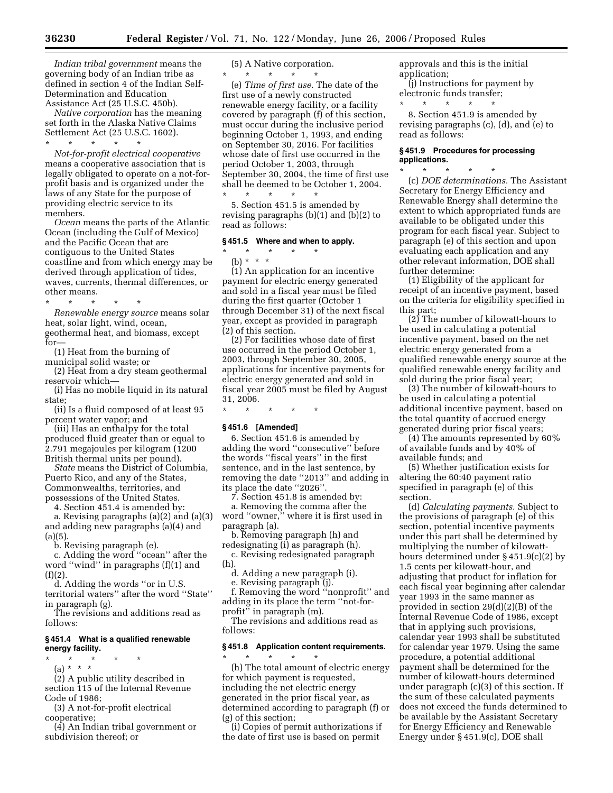*Indian tribal government* means the governing body of an Indian tribe as defined in section 4 of the Indian Self-Determination and Education Assistance Act (25 U.S.C. 450b).

*Native corporation* has the meaning set forth in the Alaska Native Claims Settlement Act (25 U.S.C. 1602).

\* \* \* \* \* *Not-for-profit electrical cooperative*  means a cooperative association that is legally obligated to operate on a not-forprofit basis and is organized under the laws of any State for the purpose of providing electric service to its members.

*Ocean* means the parts of the Atlantic Ocean (including the Gulf of Mexico) and the Pacific Ocean that are contiguous to the United States coastline and from which energy may be derived through application of tides, waves, currents, thermal differences, or other means.

\* \* \* \* \* *Renewable energy source* means solar heat, solar light, wind, ocean, geothermal heat, and biomass, except for—

(1) Heat from the burning of municipal solid waste; or

(2) Heat from a dry steam geothermal reservoir which—

(i) Has no mobile liquid in its natural state;

(ii) Is a fluid composed of at least 95 percent water vapor; and

(iii) Has an enthalpy for the total produced fluid greater than or equal to 2.791 megajoules per kilogram (1200 British thermal units per pound).

*State* means the District of Columbia, Puerto Rico, and any of the States, Commonwealths, territories, and possessions of the United States.

4. Section 451.4 is amended by: a. Revising paragraphs (a)(2) and (a)(3) and adding new paragraphs (a)(4) and  $(a)(5)$ .

b. Revising paragraph (e).

c. Adding the word ''ocean'' after the word ''wind'' in paragraphs (f)(1) and  $(f)(2)$ 

d. Adding the words ''or in U.S. territorial waters'' after the word ''State''

in paragraph (g).

The revisions and additions read as follows:

# **§ 451.4 What is a qualified renewable energy facility.**

\* \* \* \* \*  $(a) * * * *$ 

(2) A public utility described in

section 115 of the Internal Revenue Code of 1986;

(3) A not-for-profit electrical cooperative;

(4) An Indian tribal government or subdivision thereof; or

(5) A Native corporation.

\* \* \* \* \* (e) *Time of first use.* The date of the first use of a newly constructed renewable energy facility, or a facility covered by paragraph (f) of this section, must occur during the inclusive period beginning October 1, 1993, and ending on September 30, 2016. For facilities whose date of first use occurred in the period October 1, 2003, through September 30, 2004, the time of first use shall be deemed to be October 1, 2004.

5. Section 451.5 is amended by revising paragraphs (b)(1) and (b)(2) to read as follows:

# **§ 451.5 Where and when to apply.**

\* \* \* \* \*

\* \* \* \* \* (b) \* \* \*

(1) An application for an incentive payment for electric energy generated and sold in a fiscal year must be filed during the first quarter (October 1 through December 31) of the next fiscal year, except as provided in paragraph (2) of this section.

(2) For facilities whose date of first use occurred in the period October 1, 2003, through September 30, 2005, applications for incentive payments for electric energy generated and sold in fiscal year 2005 must be filed by August 31, 2006.

\* \* \* \* \*

# **§ 451.6 [Amended]**

6. Section 451.6 is amended by adding the word ''consecutive'' before the words ''fiscal years'' in the first sentence, and in the last sentence, by removing the date ''2013'' and adding in its place the date ''2026''.

7. Section 451.8 is amended by:

a. Removing the comma after the word ''owner,'' where it is first used in paragraph (a).

b. Removing paragraph (h) and redesignating (i) as paragraph (h).

c. Revising redesignated paragraph (h).

d. Adding a new paragraph (i).

e. Revising paragraph (j).

f. Removing the word ''nonprofit'' and adding in its place the term ''not-forprofit'' in paragraph (m).

The revisions and additions read as follows:

#### **§ 451.8 Application content requirements.**

\* \* \* \* \* (h) The total amount of electric energy for which payment is requested, including the net electric energy generated in the prior fiscal year, as determined according to paragraph (f) or (g) of this section;

(i) Copies of permit authorizations if the date of first use is based on permit

approvals and this is the initial application;

(j) Instructions for payment by electronic funds transfer;<br>\* \* \* \* \* \* \* \* \* \* \* \*

8. Section 451.9 is amended by revising paragraphs (c), (d), and (e) to read as follows:

## **§ 451.9 Procedures for processing applications.**

\* \* \* \* \* (c) *DOE determinations.* The Assistant Secretary for Energy Efficiency and Renewable Energy shall determine the extent to which appropriated funds are available to be obligated under this program for each fiscal year. Subject to paragraph (e) of this section and upon evaluating each application and any other relevant information, DOE shall further determine:

(1) Eligibility of the applicant for receipt of an incentive payment, based on the criteria for eligibility specified in this part;

(2) The number of kilowatt-hours to be used in calculating a potential incentive payment, based on the net electric energy generated from a qualified renewable energy source at the qualified renewable energy facility and sold during the prior fiscal year;

(3) The number of kilowatt-hours to be used in calculating a potential additional incentive payment, based on the total quantity of accrued energy generated during prior fiscal years;

(4) The amounts represented by 60% of available funds and by 40% of available funds; and

(5) Whether justification exists for altering the 60:40 payment ratio specified in paragraph (e) of this section.

(d) *Calculating payments.* Subject to the provisions of paragraph (e) of this section, potential incentive payments under this part shall be determined by multiplying the number of kilowatthours determined under § 451.9(c)(2) by 1.5 cents per kilowatt-hour, and adjusting that product for inflation for each fiscal year beginning after calendar year 1993 in the same manner as provided in section 29(d)(2)(B) of the Internal Revenue Code of 1986, except that in applying such provisions, calendar year 1993 shall be substituted for calendar year 1979. Using the same procedure, a potential additional payment shall be determined for the number of kilowatt-hours determined under paragraph (c)(3) of this section. If the sum of these calculated payments does not exceed the funds determined to be available by the Assistant Secretary for Energy Efficiency and Renewable Energy under § 451.9(c), DOE shall